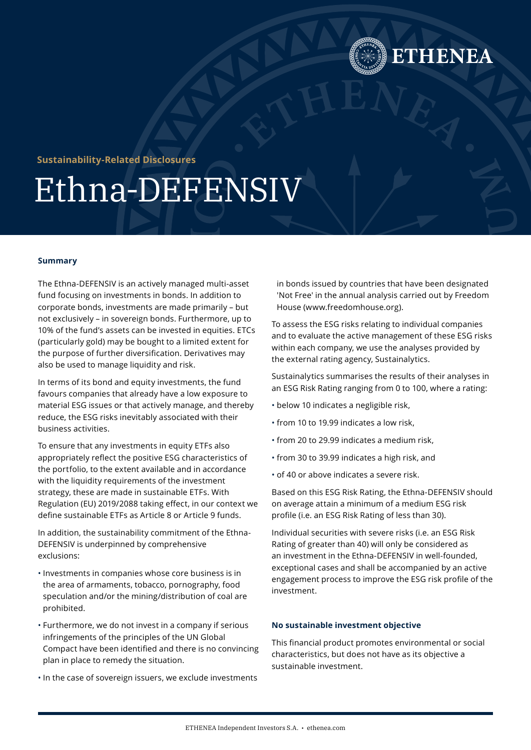

# **Sustainability-Related Disclosures**

# Ethna-DEFENSIV

#### **Summary**

The Ethna-DEFENSIV is an actively managed multi-asset fund focusing on investments in bonds. In addition to corporate bonds, investments are made primarily – but not exclusively – in sovereign bonds. Furthermore, up to 10% of the fund's assets can be invested in equities. ETCs (particularly gold) may be bought to a limited extent for the purpose of further diversification. Derivatives may also be used to manage liquidity and risk.

In terms of its bond and equity investments, the fund favours companies that already have a low exposure to material ESG issues or that actively manage, and thereby reduce, the ESG risks inevitably associated with their business activities.

To ensure that any investments in equity ETFs also appropriately reflect the positive ESG characteristics of the portfolio, to the extent available and in accordance with the liquidity requirements of the investment strategy, these are made in sustainable ETFs. With Regulation (EU) 2019/2088 taking effect, in our context we define sustainable ETFs as Article 8 or Article 9 funds.

In addition, the sustainability commitment of the Ethna-DEFENSIV is underpinned by comprehensive exclusions:

- Investments in companies whose core business is in the area of armaments, tobacco, pornography, food speculation and/or the mining/distribution of coal are prohibited.
- Furthermore, we do not invest in a company if serious infringements of the principles of the UN Global Compact have been identified and there is no convincing plan in place to remedy the situation.
- In the case of sovereign issuers, we exclude investments

in bonds issued by countries that have been designated 'Not Free' in the annual analysis carried out by Freedom House (www.freedomhouse.org).

To assess the ESG risks relating to individual companies and to evaluate the active management of these ESG risks within each company, we use the analyses provided by the external rating agency, Sustainalytics.

Sustainalytics summarises the results of their analyses in an ESG Risk Rating ranging from 0 to 100, where a rating:

- below 10 indicates a negligible risk,
- from 10 to 19.99 indicates a low risk,
- from 20 to 29.99 indicates a medium risk,
- from 30 to 39.99 indicates a high risk, and
- of 40 or above indicates a severe risk.

Based on this ESG Risk Rating, the Ethna-DEFENSIV should on average attain a minimum of a medium ESG risk profile (i.e. an ESG Risk Rating of less than 30).

Individual securities with severe risks (i.e. an ESG Risk Rating of greater than 40) will only be considered as an investment in the Ethna-DEFENSIV in well-founded, exceptional cases and shall be accompanied by an active engagement process to improve the ESG risk profile of the investment.

#### **No sustainable investment objective**

This financial product promotes environmental or social characteristics, but does not have as its objective a sustainable investment.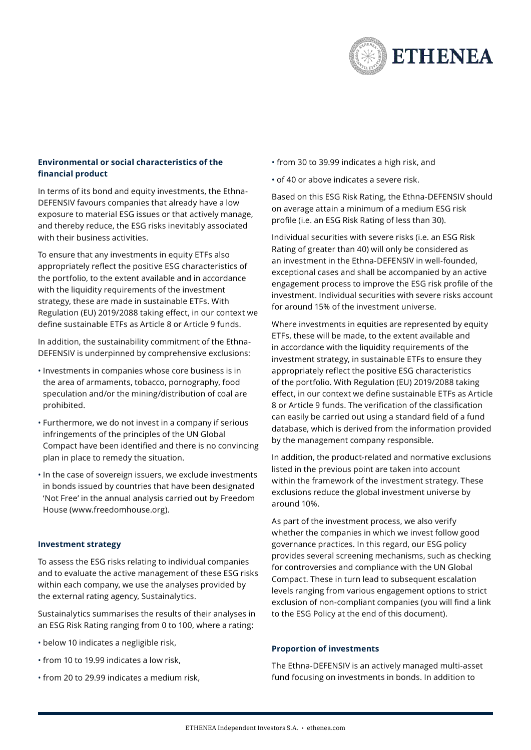

## **Environmental or social characteristics of the financial product**

In terms of its bond and equity investments, the Ethna-DEFENSIV favours companies that already have a low exposure to material ESG issues or that actively manage, and thereby reduce, the ESG risks inevitably associated with their business activities.

To ensure that any investments in equity ETFs also appropriately reflect the positive ESG characteristics of the portfolio, to the extent available and in accordance with the liquidity requirements of the investment strategy, these are made in sustainable ETFs. With Regulation (EU) 2019/2088 taking effect, in our context we define sustainable ETFs as Article 8 or Article 9 funds.

In addition, the sustainability commitment of the Ethna-DEFENSIV is underpinned by comprehensive exclusions:

- Investments in companies whose core business is in the area of armaments, tobacco, pornography, food speculation and/or the mining/distribution of coal are prohibited.
- Furthermore, we do not invest in a company if serious infringements of the principles of the UN Global Compact have been identified and there is no convincing plan in place to remedy the situation.
- In the case of sovereign issuers, we exclude investments in bonds issued by countries that have been designated 'Not Free' in the annual analysis carried out by Freedom House ([www.freedomhouse.org](https://freedomhouse.org/)).

#### **Investment strategy**

To assess the ESG risks relating to individual companies and to evaluate the active management of these ESG risks within each company, we use the analyses provided by the external rating agency, Sustainalytics.

Sustainalytics summarises the results of their analyses in an ESG Risk Rating ranging from 0 to 100, where a rating:

- below 10 indicates a negligible risk,
- from 10 to 19.99 indicates a low risk,
- from 20 to 29.99 indicates a medium risk,
- from 30 to 39.99 indicates a high risk, and
- of 40 or above indicates a severe risk.

Based on this ESG Risk Rating, the Ethna-DEFENSIV should on average attain a minimum of a medium ESG risk profile (i.e. an ESG Risk Rating of less than 30).

Individual securities with severe risks (i.e. an ESG Risk Rating of greater than 40) will only be considered as an investment in the Ethna-DEFENSIV in well-founded, exceptional cases and shall be accompanied by an active engagement process to improve the ESG risk profile of the investment. Individual securities with severe risks account for around 15% of the investment universe.

Where investments in equities are represented by equity ETFs, these will be made, to the extent available and in accordance with the liquidity requirements of the investment strategy, in sustainable ETFs to ensure they appropriately reflect the positive ESG characteristics of the portfolio. With Regulation (EU) 2019/2088 taking effect, in our context we define sustainable ETFs as Article 8 or Article 9 funds. The verification of the classification can easily be carried out using a standard field of a fund database, which is derived from the information provided by the management company responsible.

In addition, the product-related and normative exclusions listed in the previous point are taken into account within the framework of the investment strategy. These exclusions reduce the global investment universe by around 10%.

As part of the investment process, we also verify whether the companies in which we invest follow good governance practices. In this regard, our ESG policy provides several screening mechanisms, such as checking for controversies and compliance with the UN Global Compact. These in turn lead to subsequent escalation levels ranging from various engagement options to strict exclusion of non-compliant companies (you will find a link to the ESG Policy at the end of this document).

#### **Proportion of investments**

The Ethna-DEFENSIV is an actively managed multi-asset fund focusing on investments in bonds. In addition to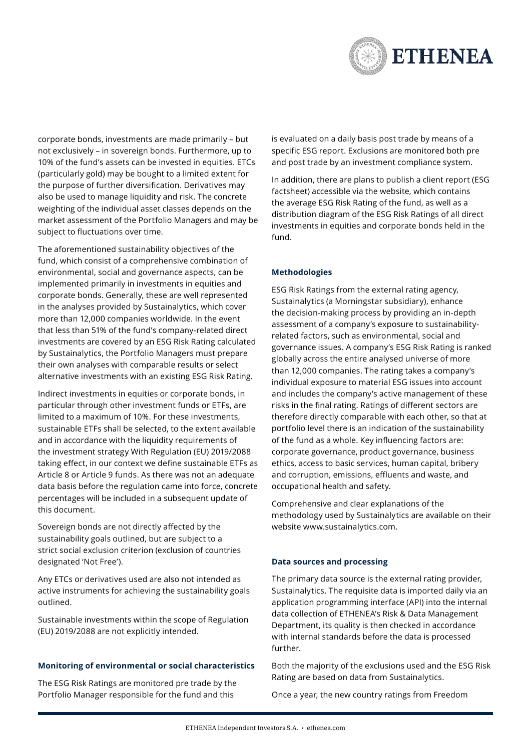

corporate bonds, investments are made primarily – but not exclusively – in sovereign bonds. Furthermore, up to 10% of the fund's assets can be invested in equities. ETCs (particularly gold) may be bought to a limited extent for the purpose of further diversification. Derivatives may also be used to manage liquidity and risk. The concrete weighting of the individual asset classes depends on the market assessment of the Portfolio Managers and may be subject to fluctuations over time.

The aforementioned sustainability objectives of the fund, which consist of a comprehensive combination of environmental, social and governance aspects, can be implemented primarily in investments in equities and corporate bonds. Generally, these are well represented in the analyses provided by Sustainalytics, which cover more than 12,000 companies worldwide. In the event that less than 51% of the fund's company-related direct investments are covered by an ESG Risk Rating calculated by Sustainalytics, the Portfolio Managers must prepare their own analyses with comparable results or select alternative investments with an existing ESG Risk Rating.

Indirect investments in equities or corporate bonds, in particular through other investment funds or ETFs, are limited to a maximum of 10%. For these investments, sustainable ETFs shall be selected, to the extent available and in accordance with the liquidity requirements of the investment strategy With Regulation (EU) 2019/2088 taking effect, in our context we define sustainable ETFs as Article 8 or Article 9 funds. As there was not an adequate data basis before the regulation came into force, concrete percentages will be included in a subsequent update of this document.

Sovereign bonds are not directly affected by the sustainability goals outlined, but are subject to a strict social exclusion criterion (exclusion of countries designated 'Not Free').

Any ETCs or derivatives used are also not intended as active instruments for achieving the sustainability goals outlined.

Sustainable investments within the scope of Regulation (EU) 2019/2088 are not explicitly intended.

#### **Monitoring of environmental or social characteristics**

The ESG Risk Ratings are monitored pre trade by the Portfolio Manager responsible for the fund and this

is evaluated on a daily basis post trade by means of a specific ESG report. Exclusions are monitored both pre and post trade by an investment compliance system.

In addition, there are plans to publish a client report (ESG factsheet) accessible via the website, which contains the average ESG Risk Rating of the fund, as well as a distribution diagram of the ESG Risk Ratings of all direct investments in equities and corporate bonds held in the fund.

### **Methodologies**

ESG Risk Ratings from the external rating agency, Sustainalytics (a Morningstar subsidiary), enhance the decision-making process by providing an in-depth assessment of a company's exposure to sustainabilityrelated factors, such as environmental, social and governance issues. A company's ESG Risk Rating is ranked globally across the entire analysed universe of more than 12,000 companies. The rating takes a company's individual exposure to material ESG issues into account and includes the company's active management of these risks in the final rating. Ratings of different sectors are therefore directly comparable with each other, so that at portfolio level there is an indication of the sustainability of the fund as a whole. Key influencing factors are: corporate governance, product governance, business ethics, access to basic services, human capital, bribery and corruption, emissions, effluents and waste, and occupational health and safety.

Comprehensive and clear explanations of the methodology used by Sustainalytics are available on their website [www.sustainalytics.com.](https://www.sustainalytics.com/)

#### **Data sources and processing**

The primary data source is the external rating provider, Sustainalytics. The requisite data is imported daily via an application programming interface (API) into the internal data collection of ETHENEA's Risk & Data Management Department, its quality is then checked in accordance with internal standards before the data is processed further.

Both the majority of the exclusions used and the ESG Risk Rating are based on data from Sustainalytics.

Once a year, the new country ratings from Freedom